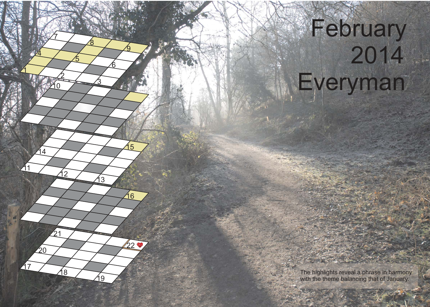## February Everyman

 $20^{\circ}$ 

<u>3</u>

14 15

<u>8</u>

<u>ნ</u>

<u>ପ</u>

The highlights reveal a phrase in harmony with the theme balancing that of January.